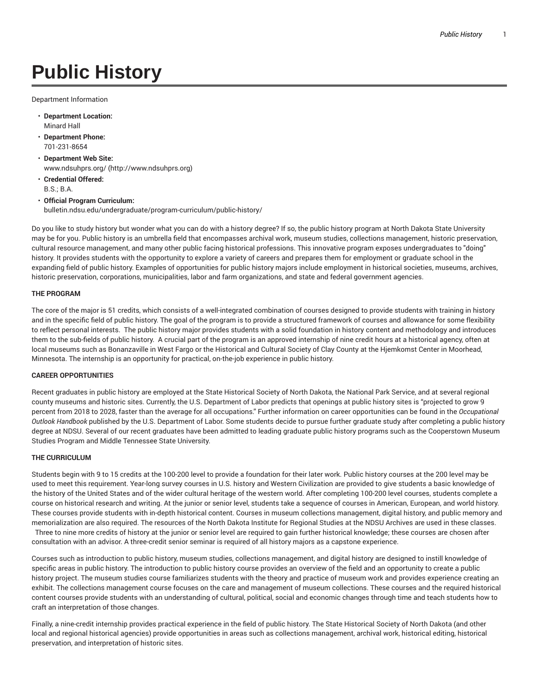# **Public History**

Department Information

- **Department Location:** Minard Hall
- **Department Phone:** 701-231-8654
- **Department Web Site:** www.ndsuhprs.org/ (http://www.ndsuhprs.org)
- **Credential Offered:** B.S.; B.A.
- **Official Program Curriculum:** bulletin.ndsu.edu/undergraduate/program-curriculum/public-history/

Do you like to study history but wonder what you can do with a history degree? If so, the public history program at North Dakota State University may be for you. Public history is an umbrella field that encompasses archival work, museum studies, collections management, historic preservation, cultural resource management, and many other public facing historical professions. This innovative program exposes undergraduates to "doing" history. It provides students with the opportunity to explore a variety of careers and prepares them for employment or graduate school in the expanding field of public history. Examples of opportunities for public history majors include employment in historical societies, museums, archives, historic preservation, corporations, municipalities, labor and farm organizations, and state and federal government agencies.

### **THE PROGRAM**

The core of the major is 51 credits, which consists of a well-integrated combination of courses designed to provide students with training in history and in the specific field of public history. The goal of the program is to provide a structured framework of courses and allowance for some flexibility to reflect personal interests. The public history major provides students with a solid foundation in history content and methodology and introduces them to the sub-fields of public history. A crucial part of the program is an approved internship of nine credit hours at a historical agency, often at local museums such as Bonanzaville in West Fargo or the Historical and Cultural Society of Clay County at the Hjemkomst Center in Moorhead, Minnesota. The internship is an opportunity for practical, on-the-job experience in public history.

#### **CAREER OPPORTUNITIES**

Recent graduates in public history are employed at the State Historical Society of North Dakota, the National Park Service, and at several regional county museums and historic sites. Currently, the U.S. Department of Labor predicts that openings at public history sites is "projected to grow 9 percent from 2018 to 2028, faster than the average for all occupations." Further information on career opportunities can be found in the *Occupational Outlook Handbook* published by the U.S. Department of Labor. Some students decide to pursue further graduate study after completing a public history degree at NDSU. Several of our recent graduates have been admitted to leading graduate public history programs such as the Cooperstown Museum Studies Program and Middle Tennessee State University.

#### **THE CURRICULUM**

Students begin with 9 to 15 credits at the 100-200 level to provide a foundation for their later work. Public history courses at the 200 level may be used to meet this requirement. Year-long survey courses in U.S. history and Western Civilization are provided to give students a basic knowledge of the history of the United States and of the wider cultural heritage of the western world. After completing 100-200 level courses, students complete a course on historical research and writing. At the junior or senior level, students take a sequence of courses in American, European, and world history. These courses provide students with in-depth historical content. Courses in museum collections management, digital history, and public memory and memorialization are also required. The resources of the North Dakota Institute for Regional Studies at the NDSU Archives are used in these classes. Three to nine more credits of history at the junior or senior level are required to gain further historical knowledge; these courses are chosen after

consultation with an advisor. A three-credit senior seminar is required of all history majors as a capstone experience.

Courses such as introduction to public history, museum studies, collections management, and digital history are designed to instill knowledge of specific areas in public history. The introduction to public history course provides an overview of the field and an opportunity to create a public history project. The museum studies course familiarizes students with the theory and practice of museum work and provides experience creating an exhibit. The collections management course focuses on the care and management of museum collections. These courses and the required historical content courses provide students with an understanding of cultural, political, social and economic changes through time and teach students how to craft an interpretation of those changes.

Finally, a nine-credit internship provides practical experience in the field of public history. The State Historical Society of North Dakota (and other local and regional historical agencies) provide opportunities in areas such as collections management, archival work, historical editing, historical preservation, and interpretation of historic sites.